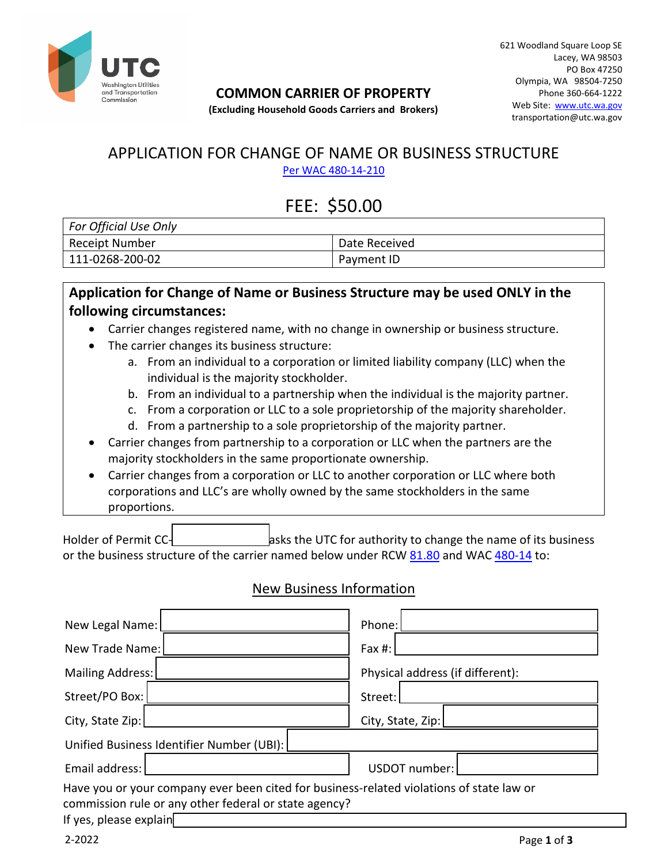

#### **COMMON CARRIER OF PROPERTY**

621 Woodland Square Loop SE Lacey, WA 98503 PO Box 47250 Olympia, WA 98504-7250 Phone 360-664-1222 Web Site: [www.utc.wa.gov](http://www.utc.wa.gov/) transportation@utc.wa.gov

#### **(Excluding Household Goods Carriers and Brokers)**

#### APPLICATION FOR CHANGE OF NAME OR BUSINESS STRUCTURE [Per WAC 480-14-210](http://apps.leg.wa.gov/wac/default.aspx?cite=480-14-210)

# FEE: \$50.00

| For Official Use Only |                   |  |  |  |
|-----------------------|-------------------|--|--|--|
| Receipt Number        | Date Received     |  |  |  |
| 111-0268-200-02       | <b>Payment ID</b> |  |  |  |

#### **Application for Change of Name or Business Structure may be used ONLY in the following circumstances:**

- Carrier changes registered name, with no change in ownership or business structure.
- The carrier changes its business structure:
	- a. From an individual to a corporation or limited liability company (LLC) when the individual is the majority stockholder.
	- b. From an individual to a partnership when the individual is the majority partner.
	- c. From a corporation or LLC to a sole proprietorship of the majority shareholder.
	- d. From a partnership to a sole proprietorship of the majority partner.
- Carrier changes from partnership to a corporation or LLC when the partners are the majority stockholders in the same proportionate ownership.
- Carrier changes from a corporation or LLC to another corporation or LLC where both corporations and LLC's are wholly owned by the same stockholders in the same proportions.

Holder of Permit CC- **example 3 asks the UTC for authority to change the name of its business** or the business structure of the carrier named below under RCW [81.80](http://apps.leg.wa.gov/rcw/default.aspx?cite=81.80) and WAC [480-14](http://apps.leg.wa.gov/wac/default.aspx?cite=480-14) to:

### New Business Information

| New Legal Name:                                                                                                                                                             | Phone:                           |
|-----------------------------------------------------------------------------------------------------------------------------------------------------------------------------|----------------------------------|
| New Trade Name:                                                                                                                                                             | Fax $#$ :                        |
| Mailing Address:                                                                                                                                                            | Physical address (if different): |
| Street/PO Box:                                                                                                                                                              | Street:                          |
| City, State Zip:                                                                                                                                                            | City, State, Zip:                |
| Unified Business Identifier Number (UBI):                                                                                                                                   |                                  |
| Email address:                                                                                                                                                              | USDOT number:                    |
| Have you or your company ever been cited for business-related violations of state law or<br>commission rule or any other federal or state agency?<br>If yes, please explain |                                  |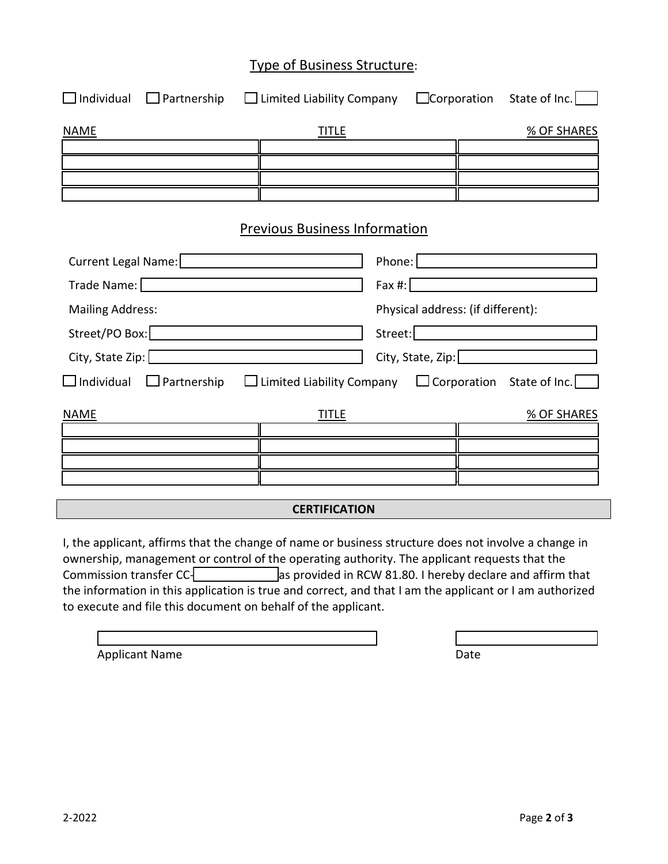#### Type of Business Structure:

| $\Box$ Individual                                                                                                                                                                                                              | $\Box$ Partnership $\Box$ Limited Liability Company |                                             | $\Box$ Corporation State of Inc. $\Box$  |  |  |  |
|--------------------------------------------------------------------------------------------------------------------------------------------------------------------------------------------------------------------------------|-----------------------------------------------------|---------------------------------------------|------------------------------------------|--|--|--|
| <b>NAME</b>                                                                                                                                                                                                                    | <b>TITLE</b>                                        |                                             | <b>% OF SHARES</b>                       |  |  |  |
|                                                                                                                                                                                                                                |                                                     |                                             |                                          |  |  |  |
|                                                                                                                                                                                                                                |                                                     |                                             |                                          |  |  |  |
|                                                                                                                                                                                                                                |                                                     |                                             |                                          |  |  |  |
|                                                                                                                                                                                                                                | <b>Previous Business Information</b>                |                                             |                                          |  |  |  |
| Current Legal Name:   <b>Mature 2018</b>                                                                                                                                                                                       |                                                     |                                             | Phone: <u>  ________________________</u> |  |  |  |
|                                                                                                                                                                                                                                |                                                     |                                             |                                          |  |  |  |
| <b>Mailing Address:</b>                                                                                                                                                                                                        |                                                     |                                             | Physical address: (if different):        |  |  |  |
| Street/PO Box: Department of the Contract of the Contract of the Contract of the Contract of the Contract of the Contract of the Contract of the Contract of the Contract of the Contract of the Contract of the Contract of t |                                                     | Street: <u>[www.community.com</u>           |                                          |  |  |  |
| <u> 1989 - Johann Barn, amerikansk politiker (</u>                                                                                                                                                                             |                                                     | City, State, Zip: <u>2008 - 2009 - 2009</u> |                                          |  |  |  |
| $\Box$ Individual $\Box$ Partnership $\Box$ Limited Liability Company $\Box$ Corporation State of Inc.                                                                                                                         |                                                     |                                             |                                          |  |  |  |
| <b>NAME</b>                                                                                                                                                                                                                    | <u>TITLE</u>                                        |                                             | <b>% OF SHARES</b>                       |  |  |  |
|                                                                                                                                                                                                                                |                                                     |                                             |                                          |  |  |  |
|                                                                                                                                                                                                                                |                                                     |                                             |                                          |  |  |  |
|                                                                                                                                                                                                                                |                                                     |                                             |                                          |  |  |  |
| <b>CERTIFICATION</b>                                                                                                                                                                                                           |                                                     |                                             |                                          |  |  |  |

I, the applicant, affirms that the change of name or business structure does not involve a change in ownership, management or control of the operating authority. The applicant requests that the Commission transfer CC-**COMET 2008** as provided in RCW 81.80. I hereby declare and affirm that the information in this application is true and correct, and that I am the applicant or I am authorized to execute and file this document on behalf of the applicant.

| Date |  |  |
|------|--|--|

Applicant Name